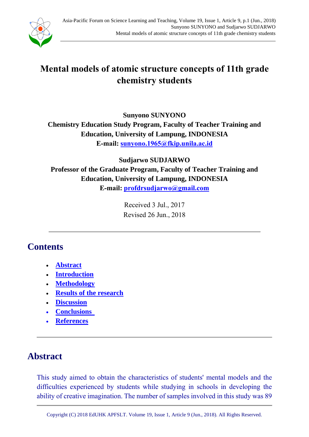

# **Mental models of atomic structure concepts of 11th grade chemistry students**

**Sunyono SUNYONO Chemistry Education Study Program, Faculty of Teacher Training and Education, University of Lampung, INDONESIA E-mail: [sunyono.1965@fkip.unila.ac.id](mailto:sunyono.1965@fkip.unila.ac.id)**

**Sudjarwo SUDJARWO Professor of the Graduate Program, Faculty of Teacher Training and Education, University of Lampung, INDONESIA E-mail: [profdrsudjarwo@gmail.com](mailto:profdrsudjarwo@gmail.com)**

> Received 3 Jul., 2017 Revised 26 Jun., 2018

# **Contents**

- **[Abstract](#page-0-0)**
- **[Introduction](#page-1-0)**
- **[Methodology](#page-3-0)**
- **[Results of the research](#page-8-0)**
- **[Discussion](#page-15-0)**
- **[Conclusions](#page-17-0)**
- **[References](#page-18-0)**

# <span id="page-0-0"></span>**Abstract**

This study aimed to obtain the characteristics of students' mental models and the difficulties experienced by students while studying in schools in developing the ability of creative imagination. The number of samples involved in this study was 89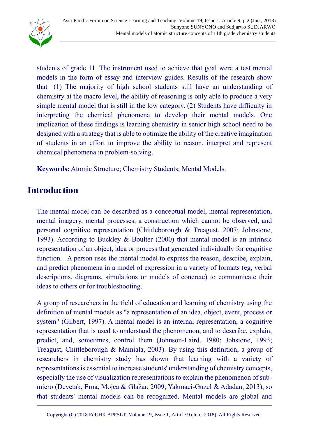

students of grade 11. The instrument used to achieve that goal were a test mental models in the form of essay and interview guides. Results of the research show that (1) The majority of high school students still have an understanding of chemistry at the macro level, the ability of reasoning is only able to produce a very simple mental model that is still in the low category. (2) Students have difficulty in interpreting the chemical phenomena to develop their mental models. One implication of these findings is learning chemistry in senior high school need to be designed with a strategy that is able to optimize the ability of the creative imagination of students in an effort to improve the ability to reason, interpret and represent chemical phenomena in problem-solving.

**Keywords:** Atomic Structure; Chemistry Students; Mental Models.

## <span id="page-1-0"></span>**Introduction**

The mental model can be described as a conceptual model, mental representation, mental imagery, mental processes, a construction which cannot be observed, and personal cognitive representation (Chittleborough & Treagust, 2007; Johnstone, 1993). According to Buckley & Boulter (2000) that mental model is an intrinsic representation of an object, idea or process that generated individually for cognitive function. A person uses the mental model to express the reason, describe, explain, and predict phenomena in a model of expression in a variety of formats (eg, verbal descriptions, diagrams, simulations or models of concrete) to communicate their ideas to others or for troubleshooting.

A group of researchers in the field of education and learning of chemistry using the definition of mental models as "a representation of an idea, object, event, process or system" (Gilbert, 1997). A mental model is an internal representation, a cognitive representation that is used to understand the phenomenon, and to describe, explain, predict, and, sometimes, control them (Johnson-Laird, 1980; Johstone, 1993; Treagust, Chittleborough & Mamiala, 2003). By using this definition, a group of researchers in chemistry study has shown that learning with a variety of representations is essential to increase students' understanding of chemistry concepts, especially the use of visualization representations to explain the phenomenon of submicro (Devetak, Erna, Mojca & Glažar, 2009; Yakmaci-Guzel & Adadan, 2013), so that students' mental models can be recognized. Mental models are global and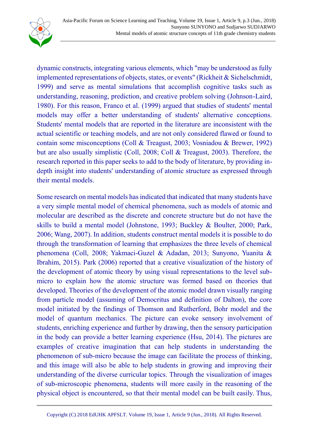

dynamic constructs, integrating various elements, which "may be understood as fully implemented representations of objects, states, or events" (Rickheit & Sichelschmidt, 1999) and serve as mental simulations that accomplish cognitive tasks such as understanding, reasoning, prediction, and creative problem solving (Johnson-Laird, 1980). For this reason, Franco et al. (1999) argued that studies of students' mental models may offer a better understanding of students' alternative conceptions. Students' mental models that are reported in the literature are inconsistent with the actual scientific or teaching models, and are not only considered flawed or found to contain some misconceptions (Coll & Treagust, 2003; Vosniadou & Brewer, 1992) but are also usually simplistic (Coll, 2008; Coll & Treagust, 2003). Therefore, the research reported in this paper seeks to add to the body of literature, by providing indepth insight into students' understanding of atomic structure as expressed through their mental models.

Some research on mental models has indicated that indicated that many students have a very simple mental model of chemical phenomena, such as models of atomic and molecular are described as the discrete and concrete structure but do not have the skills to build a mental model (Johnstone, 1993; Buckley & Boulter, 2000; Park, 2006; Wang, 2007). In addition, students construct mental models it is possible to do through the transformation of learning that emphasizes the three levels of chemical phenomena (Coll, 2008; Yakmaci-Guzel & Adadan, 2013; Sunyono, Yuanita & Ibrahim, 2015). Park (2006) reported that a creative visualization of the history of the development of atomic theory by using visual representations to the level submicro to explain how the atomic structure was formed based on theories that developed. Theories of the development of the atomic model drawn visually ranging from particle model (assuming of Democritus and definition of Dalton), the core model initiated by the findings of Thomson and Rutherford, Bohr model and the model of quantum mechanics. The picture can evoke sensory involvement of students, enriching experience and further by drawing, then the sensory participation in the body can provide a better learning experience (Hsu, 2014). The pictures are examples of creative imagination that can help students in understanding the phenomenon of sub-micro because the image can facilitate the process of thinking, and this image will also be able to help students in growing and improving their understanding of the diverse curricular topics. Through the visualization of images of sub-microscopic phenomena, students will more easily in the reasoning of the physical object is encountered, so that their mental model can be built easily. Thus,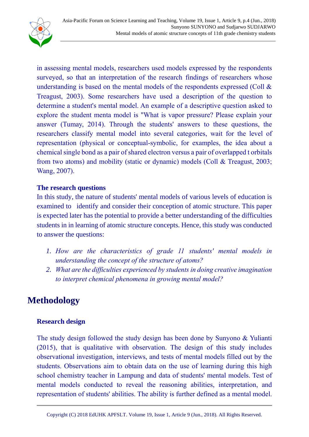

in assessing mental models, researchers used models expressed by the respondents surveyed, so that an interpretation of the research findings of researchers whose understanding is based on the mental models of the respondents expressed (Coll & Treagust, 2003). Some researchers have used a description of the question to determine a student's mental model. An example of a descriptive question asked to explore the student menta model is "What is vapor pressure? Please explain your answer (Tumay, 2014). Through the students' answers to these questions, the researchers classify mental model into several categories, wait for the level of representation (physical or conceptual-symbolic, for examples, the idea about a chemical single bond as a pair of shared electron versus a pair of overlapped t orbitals from two atoms) and mobility (static or dynamic) models (Coll & Treagust, 2003; Wang, 2007).

### **The research questions**

In this study, the nature of students' mental models of various levels of education is examined to identify and consider their conception of atomic structure. This paper is expected later has the potential to provide a better understanding of the difficulties students in in learning of atomic structure concepts. Hence, this study was conducted to answer the questions:

- *1. How are the characteristics of grade 11 students' mental models in understanding the concept of the structure of atoms?*
- *2. What are the difficulties experienced by students in doing creative imagination to interpret chemical phenomena in growing mental model?*

# <span id="page-3-0"></span>**Methodology**

### **Research design**

The study design followed the study design has been done by Sunyono & Yulianti (2015), that is qualitative with observation. The design of this study includes observational investigation, interviews, and tests of mental models filled out by the students. Observations aim to obtain data on the use of learning during this high school chemistry teacher in Lampung and data of students' mental models. Test of mental models conducted to reveal the reasoning abilities, interpretation, and representation of students' abilities. The ability is further defined as a mental model.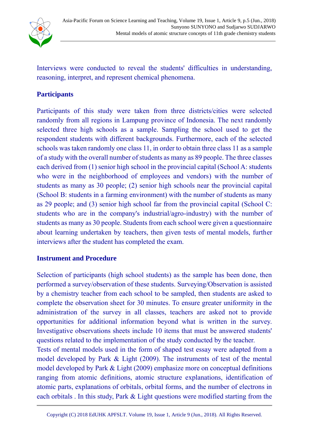

Interviews were conducted to reveal the students' difficulties in understanding, reasoning, interpret, and represent chemical phenomena.

### **Participants**

Participants of this study were taken from three districts/cities were selected randomly from all regions in Lampung province of Indonesia. The next randomly selected three high schools as a sample. Sampling the school used to get the respondent students with different backgrounds. Furthermore, each of the selected schools was taken randomly one class 11, in order to obtain three class 11 as a sample of a study with the overall number of students as many as 89 people. The three classes each derived from (1) senior high school in the provincial capital (School A: students who were in the neighborhood of employees and vendors) with the number of students as many as 30 people; (2) senior high schools near the provincial capital (School B: students in a farming environment) with the number of students as many as 29 people; and (3) senior high school far from the provincial capital (School C: students who are in the company's industrial/agro-industry) with the number of students as many as 30 people. Students from each school were given a questionnaire about learning undertaken by teachers, then given tests of mental models, further interviews after the student has completed the exam.

#### **Instrument and Procedure**

Selection of participants (high school students) as the sample has been done, then performed a survey/observation of these students. Surveying/Observation is assisted by a chemistry teacher from each school to be sampled, then students are asked to complete the observation sheet for 30 minutes. To ensure greater uniformity in the administration of the survey in all classes, teachers are asked not to provide opportunities for additional information beyond what is written in the survey. Investigative observations sheets include 10 items that must be answered students' questions related to the implementation of the study conducted by the teacher.

Tests of mental models used in the form of shaped test essay were adapted from a model developed by Park & Light (2009). The instruments of test of the mental model developed by Park & Light (2009) emphasize more on conceptual definitions ranging from atomic definitions, atomic structure explanations, identification of atomic parts, explanations of orbitals, orbital forms, and the number of electrons in each orbitals . In this study, Park & Light questions were modified starting from the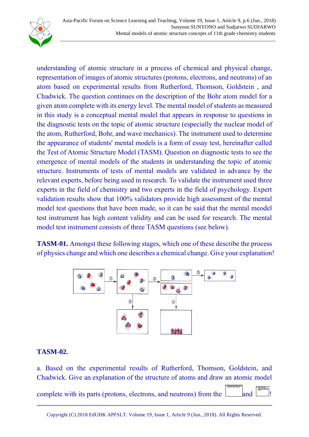

understanding of atomic structure in a process of chemical and physical change, representation of images of atomic structures (protons, electrons, and neutrons) of an atom based on experimental results from Rutherford, Thomson, Goldstein , and Chadwick. The question continues on the description of the Bohr atom model for a given atom complete with its energy level. The mental model of students as measured in this study is a conceptual mental model that appears in response to questions in the diagnostic tests on the topic of atomic structure (especially the nuclear model of the atom, Rutherford, Bohr, and wave mechanics). The instrument used to determine the appearance of students' mental models is a form of essay test, hereinafter called the Test of Atomic Structure Model (TASM). Question on diagnostic tests to see the emergence of mental models of the students in understanding the topic of atomic structure. Instruments of tests of mental models are validated in advance by the relevant experts, before being used in research. To validate the instrument used three experts in the field of chemistry and two experts in the field of psychology. Expert validation results show that 100% validators provide high assessment of the mental model test questions that have been made, so it can be said that the mental meodel test instrument has high content validity and can be used for research. The mental model test instrument consists of three TASM questions (see below).

**TASM-01.** Amongst these following stages, which one of these describe the process of physics change and which one describes a chemical change. Give your explanation!



### **TASM-02.**

a. Based on the experimental results of Rutherford, Thomson, Goldstein, and Chadwick. Give an explanation of the structure of atoms and draw an atomic model

complete with its parts (protons, electrons, and neutrons) from the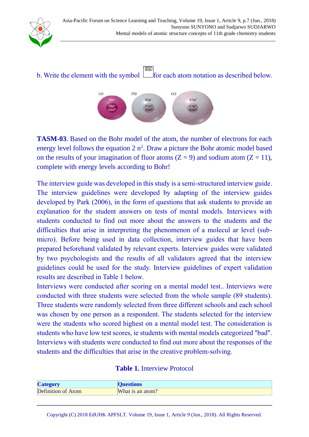

b. Write the element with the symbol  $\Box$  for each atom notation as described below.



**TASM-03**. Based on the Bohr model of the atom, the number of electrons for each energy level follows the equation  $2 n^2$ . Draw a picture the Bohr atomic model based on the results of your imagination of fluor atoms  $(Z = 9)$  and sodium atom  $(Z = 11)$ , complete with energy levels according to Bohr!

The interview guide was developed in this study is a semi-structured interview guide. The interview guidelines were developed by adapting of the interview guides developed by Park (2006), in the form of questions that ask students to provide an explanation for the student answers on tests of mental models. Interviews with students conducted to find out more about the answers to the students and the difficulties that arise in interpreting the phenomenon of a molecul ar level (submicro). Before being used in data collection, interview guides that have been prepared beforehand validated by relevant experts. Interview guides were validated by two psychologists and the results of all validators agreed that the interview guidelines could be used for the study. Interview guidelines of expert validation results are described in Table 1 below.

Interviews were conducted after scoring on a mental model test.. Interviews were conducted with three students were selected from the whole sample (89 students). Three students were randomly selected from three different schools and each school was chosen by one person as a respondent. The students selected for the interview were the students who scored highest on a mental model test. The consideration is students who have low test scores, ie students with mental models categorized "bad". Interviews with students were conducted to find out more about the responses of the students and the difficulties that arise in the creative problem-solving.

| <b>Category</b>           | <b>Questions</b> |
|---------------------------|------------------|
| <b>Definition of Atom</b> | What is an atom? |

Copyright (C) 2018 EdUHK [APFSLT.](http://www.eduhk.hk/apfslt) Volume 19, Issue 1, Article 9 (Jun., 2018). All Rights Reserved.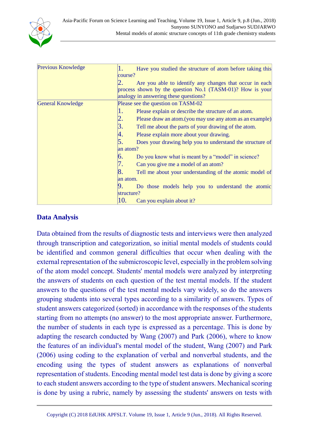

| Previous Knowledge       | 1.<br>Have you studied the structure of atom before taking this       |
|--------------------------|-----------------------------------------------------------------------|
|                          | course?                                                               |
|                          | Are you able to identify any changes that occur in each               |
|                          | process shown by the question No.1 (TASM-01)? How is your             |
|                          | analogy in answering these questions?                                 |
| <b>General Knowledge</b> | Please see the question on TASM-02                                    |
|                          | 1.<br>Please explain or describe the structure of an atom.            |
|                          | 2.<br>Please draw an atom. (you may use any atom as an example)       |
|                          | 3.<br>Tell me about the parts of your drawing of the atom.            |
|                          | 4.<br>Please explain more about your drawing.                         |
|                          | 5.<br>Does your drawing help you to understand the structure of       |
|                          | an atom?                                                              |
|                          | 6.<br>Do you know what is meant by a "model" in science?              |
|                          | 7.<br>Can you give me a model of an atom?                             |
|                          | $\vert 8.$<br>Tell me about your understanding of the atomic model of |
|                          | an atom.                                                              |
|                          | Do those models help you to understand the atomic                     |
|                          | structure?                                                            |
|                          | 10.<br>Can you explain about it?                                      |

#### **Data Analysis**

Data obtained from the results of diagnostic tests and interviews were then analyzed through transcription and categorization, so initial mental models of students could be identified and common general difficulties that occur when dealing with the external representation of the submicroscopic level, especially in the problem solving of the atom model concept. Students' mental models were analyzed by interpreting the answers of students on each question of the test mental models. If the student answers to the questions of the test mental models vary widely, so do the answers grouping students into several types according to a similarity of answers. Types of student answers categorized (sorted) in accordance with the responses of the students starting from no attempts (no answer) to the most appropriate answer. Furthermore, the number of students in each type is expressed as a percentage. This is done by adapting the research conducted by Wang (2007) and Park (2006), where to know the features of an individual's mental model of the student, Wang (2007) and Park (2006) using coding to the explanation of verbal and nonverbal students, and the encoding using the types of student answers as explanations of nonverbal representation of students. Encoding mental model test data is done by giving a score to each student answers according to the type of student answers. Mechanical scoring is done by using a rubric, namely by assessing the students' answers on tests with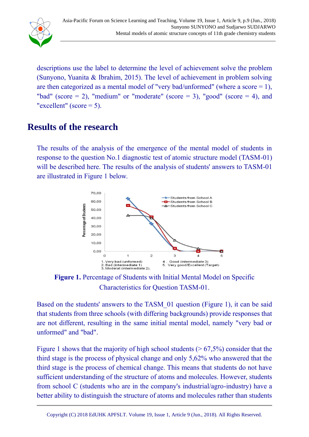

descriptions use the label to determine the level of achievement solve the problem (Sunyono, Yuanita & Ibrahim, 2015). The level of achievement in problem solving are then categorized as a mental model of "very bad/unformed" (where a score  $= 1$ ), "bad" (score  $= 2$ ), "medium" or "moderate" (score  $= 3$ ), "good" (score  $= 4$ ), and "excellent" (score  $= 5$ ).

## <span id="page-8-0"></span>**Results of the research**

The results of the analysis of the emergence of the mental model of students in response to the question No.1 diagnostic test of atomic structure model (TASM-01) will be described here. The results of the analysis of students' answers to TASM-01 are illustrated in Figure 1 below.



**Figure 1.** Percentage of Students with Initial Mental Model on Specific Characteristics for Question TASM-01.

Based on the students' answers to the TASM\_01 question (Figure 1), it can be said that students from three schools (with differing backgrounds) provide responses that are not different, resulting in the same initial mental model, namely "very bad or unformed" and "bad".

Figure 1 shows that the majority of high school students ( $> 67,5\%$ ) consider that the third stage is the process of physical change and only 5,62% who answered that the third stage is the process of chemical change. This means that students do not have sufficient understanding of the structure of atoms and molecules. However, students from school C (students who are in the company's industrial/agro-industry) have a better ability to distinguish the structure of atoms and molecules rather than students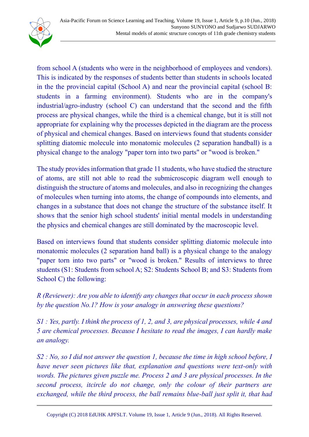

from school A (students who were in the neighborhood of employees and vendors). This is indicated by the responses of students better than students in schools located in the the provincial capital (School A) and near the provincial capital (school B: students in a farming environment). Students who are in the company's industrial/agro-industry (school C) can understand that the second and the fifth process are physical changes, while the third is a chemical change, but it is still not appropriate for explaining why the processes depicted in the diagram are the process of physical and chemical changes. Based on interviews found that students consider splitting diatomic molecule into monatomic molecules (2 separation handball) is a physical change to the analogy "paper torn into two parts" or "wood is broken."

The study provides information that grade 11 students, who have studied the structure of atoms, are still not able to read the submicroscopic diagram well enough to distinguish the structure of atoms and molecules, and also in recognizing the changes of molecules when turning into atoms, the change of compounds into elements, and changes in a substance that does not change the structure of the substance itself. It shows that the senior high school students' initial mental models in understanding the physics and chemical changes are still dominated by the macroscopic level.

Based on interviews found that students consider splitting diatomic molecule into monatomic molecules (2 separation hand ball) is a physical change to the analogy "paper torn into two parts" or "wood is broken." Results of interviews to three students (S1: Students from school A; S2: Students School B; and S3: Students from School C) the following:

*R (Reviewer): Are you able to identify any changes that occur in each process shown by the question No.1? How is your analogy in answering these questions?*

*S1 : Yes, partly. I think the process of 1, 2, and 3, are physical processes, while 4 and 5 are chemical processes. Because I hesitate to read the images, I can hardly make an analogy.*

*S2 : No, so I did not answer the question 1, because the time in high school before, I have never seen pictures like that, explanation and questions were text-only with words. The pictures given puzzle me. Process 2 and 3 are physical processes. In the second process, itcircle do not change, only the colour of their partners are exchanged, while the third process, the ball remains blue-ball just split it, that had*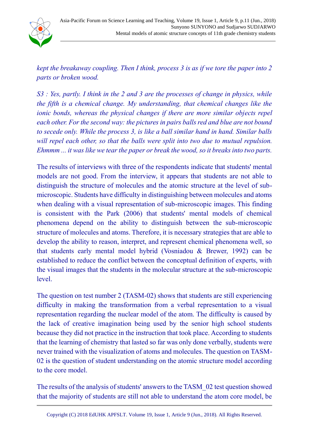

*kept the breakaway coupling. Then I think, process 3 is as if we tore the paper into 2 parts or broken wood.*

*S3 : Yes, partly. I think in the 2 and 3 are the processes of change in physics, while the fifth is a chemical change. My understanding, that chemical changes like the ionic bonds, whereas the physical changes if there are more similar objects repel each other. For the second way: the pictures in pairs balls red and blue are not bound to secede only. While the process 3, is like a ball similar hand in hand. Similar balls will repel each other, so that the balls were split into two due to mutual repulsion. Ehmmm ... it was like we tear the paper or break the wood, so it breaks into two parts.*

The results of interviews with three of the respondents indicate that students' mental models are not good. From the interview, it appears that students are not able to distinguish the structure of molecules and the atomic structure at the level of submicroscopic. Students have difficulty in distinguishing between molecules and atoms when dealing with a visual representation of sub-microscopic images. This finding is consistent with the Park (2006) that students' mental models of chemical phenomena depend on the ability to distinguish between the sub-microscopic structure of molecules and atoms. Therefore, it is necessary strategies that are able to develop the ability to reason, interpret, and represent chemical phenomena well, so that students early mental model hybrid (Vosniadou & Brewer, 1992) can be established to reduce the conflict between the conceptual definition of experts, with the visual images that the students in the molecular structure at the sub-microscopic level.

The question on test number 2 (TASM-02) shows that students are still experiencing difficulty in making the transformation from a verbal representation to a visual representation regarding the nuclear model of the atom. The difficulty is caused by the lack of creative imagination being used by the senior high school students because they did not practice in the instruction that took place. According to students that the learning of chemistry that lasted so far was only done verbally, students were never trained with the visualization of atoms and molecules. The question on TASM-02 is the question of student understanding on the atomic structure model according to the core model.

The results of the analysis of students' answers to the TASM\_02 test question showed that the majority of students are still not able to understand the atom core model, be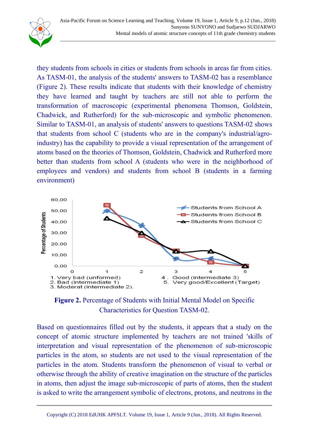they students from schools in cities or students from schools in areas far from cities. As TASM-01, the analysis of the students' answers to TASM-02 has a resemblance (Figure 2). These results indicate that students with their knowledge of chemistry they have learned and taught by teachers are still not able to perform the transformation of macroscopic (experimental phenomena Thomson, Goldstein, Chadwick, and Rutherford) for the sub-microscopic and symbolic phenomenon. Similar to TASM-01, an analysis of students' answers to questions TASM-02 shows that students from school C (students who are in the company's industrial/agroindustry) has the capability to provide a visual representation of the arrangement of atoms based on the theories of Thomson, Goldstein, Chadwick and Rutherford more better than students from school A (students who were in the neighborhood of employees and vendors) and students from school B (students in a farming environment)





Based on questionnaires filled out by the students, it appears that a study on the concept of atomic structure implemented by teachers are not trained 'skills of interpretation and visual representation of the phenomenon of sub-microscopic particles in the atom, so students are not used to the visual representation of the particles in the atom. Students transform the phenomenon of visual to verbal or otherwise through the ability of creative imagination on the structure of the particles in atoms, then adjust the image sub-microscopic of parts of atoms, then the student is asked to write the arrangement symbolic of electrons, protons, and neutrons in the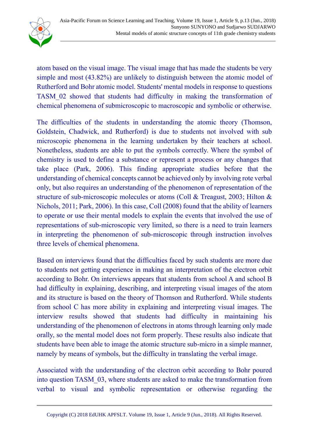

atom based on the visual image. The visual image that has made the students be very simple and most (43.82%) are unlikely to distinguish between the atomic model of Rutherford and Bohr atomic model. Students' mental models in response to questions TASM\_02 showed that students had difficulty in making the transformation of chemical phenomena of submicroscopic to macroscopic and symbolic or otherwise.

The difficulties of the students in understanding the atomic theory (Thomson, Goldstein, Chadwick, and Rutherford) is due to students not involved with sub microscopic phenomena in the learning undertaken by their teachers at school. Nonetheless, students are able to put the symbols correctly. Where the symbol of chemistry is used to define a substance or represent a process or any changes that take place (Park, 2006). This finding appropriate studies before that the understanding of chemical concepts cannot be achieved only by involving rote verbal only, but also requires an understanding of the phenomenon of representation of the structure of sub-microscopic molecules or atoms (Coll & Treagust, 2003; Hilton & Nichols, 2011; Park, 2006). In this case, Coll (2008) found that the ability of learners to operate or use their mental models to explain the events that involved the use of representations of sub-microscopic very limited, so there is a need to train learners in interpreting the phenomenon of sub-microscopic through instruction involves three levels of chemical phenomena.

Based on interviews found that the difficulties faced by such students are more due to students not getting experience in making an interpretation of the electron orbit according to Bohr. On interviews appears that students from school A and school B had difficulty in explaining, describing, and interpreting visual images of the atom and its structure is based on the theory of Thomson and Rutherford. While students from school C has more ability in explaining and interpreting visual images. The interview results showed that students had difficulty in maintaining his understanding of the phenomenon of electrons in atoms through learning only made orally, so the mental model does not form properly. These results also indicate that students have been able to image the atomic structure sub-micro in a simple manner, namely by means of symbols, but the difficulty in translating the verbal image.

Associated with the understanding of the electron orbit according to Bohr poured into question TASM\_03, where students are asked to make the transformation from verbal to visual and symbolic representation or otherwise regarding the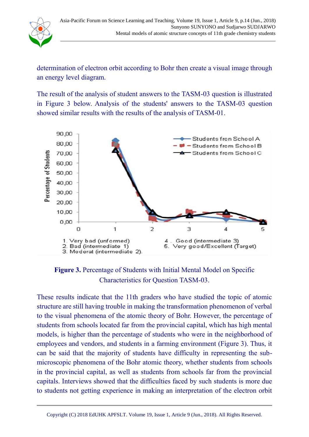

determination of electron orbit according to Bohr then create a visual image through an energy level diagram.

The result of the analysis of student answers to the TASM-03 question is illustrated in Figure 3 below. Analysis of the students' answers to the TASM-03 question showed similar results with the results of the analysis of TASM-01.



**Figure 3.** Percentage of Students with Initial Mental Model on Specific Characteristics for Question TASM-03.

These results indicate that the 11th graders who have studied the topic of atomic structure are still having trouble in making the transformation phenomenon of verbal to the visual phenomena of the atomic theory of Bohr. However, the percentage of students from schools located far from the provincial capital, which has high mental models, is higher than the percentage of students who were in the neighborhood of employees and vendors, and students in a farming environment (Figure 3). Thus, it can be said that the majority of students have difficulty in representing the submicroscopic phenomena of the Bohr atomic theory, whether students from schools in the provincial capital, as well as students from schools far from the provincial capitals. Interviews showed that the difficulties faced by such students is more due to students not getting experience in making an interpretation of the electron orbit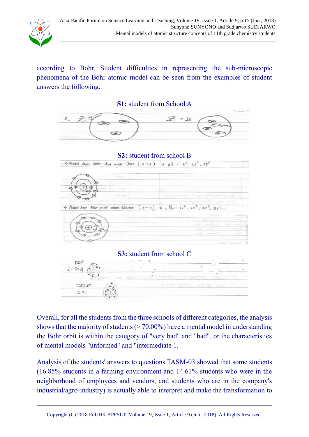

according to Bohr. Student difficulties in representing the sub-microscopic phenomena of the Bohr atomic model can be seen from the examples of student answers the following:

**S1:** student from School A



Overall, for all the students from the three schools of different categories, the analysis shows that the majority of students ( $> 70.00\%$ ) have a mental model in understanding the Bohr orbit is within the category of "very bad" and "bad", or the characteristics of mental models "unformed" and "intermediate 1.

Analysis of the students' answers to questions TASM-03 showed that some students (16.85% students in a farming environment and 14.61% students who were in the neighborhood of employees and vendors, and students who are in the company's industrial/agro-industry) is actually able to interpret and make the transformation to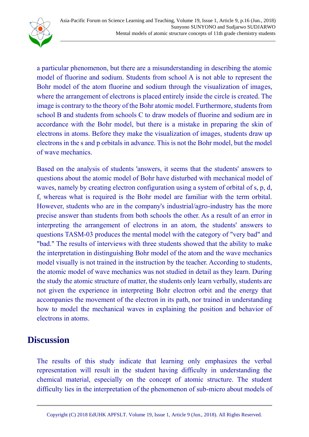

a particular phenomenon, but there are a misunderstanding in describing the atomic model of fluorine and sodium. Students from school A is not able to represent the Bohr model of the atom fluorine and sodium through the visualization of images, where the arrangement of electrons is placed entirely inside the circle is created. The image is contrary to the theory of the Bohr atomic model. Furthermore, students from school B and students from schools C to draw models of fluorine and sodium are in accordance with the Bohr model, but there is a mistake in preparing the skin of electrons in atoms. Before they make the visualization of images, students draw up electrons in the s and p orbitals in advance. This is not the Bohr model, but the model of wave mechanics.

Based on the analysis of students 'answers, it seems that the students' answers to questions about the atomic model of Bohr have disturbed with mechanical model of waves, namely by creating electron configuration using a system of orbital of s, p, d, f, whereas what is required is the Bohr model are familiar with the term orbital. However, students who are in the company's industrial/agro-industry has the more precise answer than students from both schools the other. As a result of an error in interpreting the arrangement of electrons in an atom, the students' answers to questions TASM-03 produces the mental model with the category of "very bad" and "bad." The results of interviews with three students showed that the ability to make the interpretation in distinguishing Bohr model of the atom and the wave mechanics model visually is not trained in the instruction by the teacher. According to students, the atomic model of wave mechanics was not studied in detail as they learn. During the study the atomic structure of matter, the students only learn verbally, students are not given the experience in interpreting Bohr electron orbit and the energy that accompanies the movement of the electron in its path, nor trained in understanding how to model the mechanical waves in explaining the position and behavior of electrons in atoms.

### <span id="page-15-0"></span>**Discussion**

The results of this study indicate that learning only emphasizes the verbal representation will result in the student having difficulty in understanding the chemical material, especially on the concept of atomic structure. The student difficulty lies in the interpretation of the phenomenon of sub-micro about models of

Copyright (C) 2018 EdUHK [APFSLT.](http://www.eduhk.hk/apfslt) Volume 19, Issue 1, Article 9 (Jun., 2018). All Rights Reserved.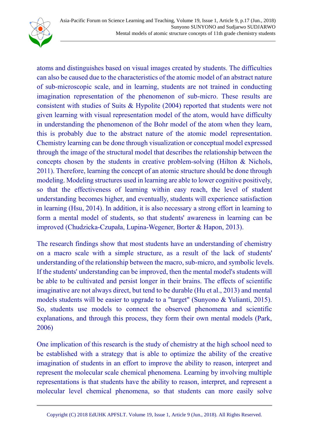

atoms and distinguishes based on visual images created by students. The difficulties can also be caused due to the characteristics of the atomic model of an abstract nature of sub-microscopic scale, and in learning, students are not trained in conducting imagination representation of the phenomenon of sub-micro. These results are consistent with studies of Suits & Hypolite (2004) reported that students were not given learning with visual representation model of the atom, would have difficulty in understanding the phenomenon of the Bohr model of the atom when they learn, this is probably due to the abstract nature of the atomic model representation. Chemistry learning can be done through visualization or conceptual model expressed through the image of the structural model that describes the relationship between the concepts chosen by the students in creative problem-solving (Hilton & Nichols, 2011). Therefore, learning the concept of an atomic structure should be done through modeling. Modeling structures used in learning are able to lower cognitive positively, so that the effectiveness of learning within easy reach, the level of student understanding becomes higher, and eventually, students will experience satisfaction in learning (Hsu, 2014). In addition, it is also necessary a strong effort in learning to form a mental model of students, so that students' awareness in learning can be improved (Chudzicka-Czupała, Lupina-Wegener, Borter & Hapon, 2013).

The research findings show that most students have an understanding of chemistry on a macro scale with a simple structure, as a result of the lack of students' understanding of the relationship between the macro, sub-micro, and symbolic levels. If the students' understanding can be improved, then the mental model's students will be able to be cultivated and persist longer in their brains. The effects of scientific imaginative are not always direct, but tend to be durable (Hu et al., 2013) and mental models students will be easier to upgrade to a "target" (Sunyono & Yulianti, 2015). So, students use models to connect the observed phenomena and scientific explanations, and through this process, they form their own mental models (Park, 2006)

One implication of this research is the study of chemistry at the high school need to be established with a strategy that is able to optimize the ability of the creative imagination of students in an effort to improve the ability to reason, interpret and represent the molecular scale chemical phenomena. Learning by involving multiple representations is that students have the ability to reason, interpret, and represent a molecular level chemical phenomena, so that students can more easily solve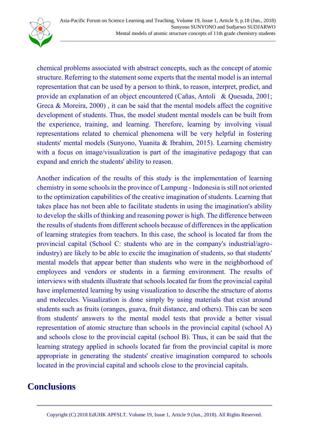

chemical problems associated with abstract concepts, such as the concept of atomic structure. Referring to the statement some experts that the mental model is an internal representation that can be used by a person to think, to reason, interpret, predict, and provide an explanation of an object encountered (Cañas, Antoli & Quesada, 2001; Greca & Moreira, 2000) , it can be said that the mental models affect the cognitive development of students. Thus, the model student mental models can be built from the experience, training, and learning. Therefore, learning by involving visual representations related to chemical phenomena will be very helpful in fostering students' mental models (Sunyono, Yuanita & Ibrahim, 2015). Learning chemistry with a focus on image/visualization is part of the imaginative pedagogy that can expand and enrich the students' ability to reason.

Another indication of the results of this study is the implementation of learning chemistry in some schools in the province of Lampung - Indonesia is still not oriented to the optimization capabilities of the creative imagination of students. Learning that takes place has not been able to facilitate students in using the imagination's ability to develop the skills of thinking and reasoning power is high. The difference between the results of students from different schools because of differences in the application of learning strategies from teachers. In this case, the school is located far from the provincial capital (School C: students who are in the company's industrial/agroindustry) are likely to be able to excite the imagination of students, so that students' mental models that appear better than students who were in the neighborhood of employees and vendors or students in a farming environment. The results of interviews with students illustrate that schools located far from the provincial capital have implemented learning by using visualization to describe the structure of atoms and molecules. Visualization is done simply by using materials that exist around students such as fruits (oranges, guava, fruit distance, and others). This can be seen from students' answers to the mental model tests that provide a better visual representation of atomic structure than schools in the provincial capital (school A) and schools close to the provincial capital (school B). Thus, it can be said that the learning strategy applied in schools located far from the provincial capital is more appropriate in generating the students' creative imagination compared to schools located in the provincial capital and schools close to the provincial capitals.

## <span id="page-17-0"></span>**Conclusions**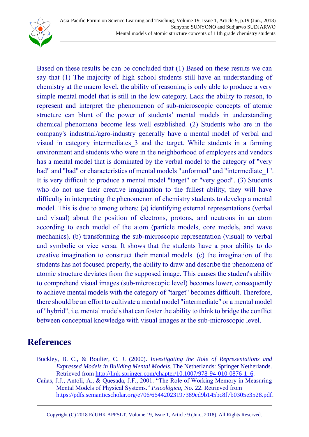

Based on these results be can be concluded that (1) Based on these results we can say that (1) The majority of high school students still have an understanding of chemistry at the macro level, the ability of reasoning is only able to produce a very simple mental model that is still in the low category. Lack the ability to reason, to represent and interpret the phenomenon of sub-microscopic concepts of atomic structure can blunt of the power of students' mental models in understanding chemical phenomena become less well established. (2) Students who are in the company's industrial/agro-industry generally have a mental model of verbal and visual in category intermediates\_3 and the target. While students in a farming environment and students who were in the neighborhood of employees and vendors has a mental model that is dominated by the verbal model to the category of "very bad" and "bad" or characteristics of mental models "unformed" and "intermediate\_1". It is very difficult to produce a mental model "target" or "very good". (3) Students who do not use their creative imagination to the fullest ability, they will have difficulty in interpreting the phenomenon of chemistry students to develop a mental model. This is due to among others: (a) identifying external representations (verbal and visual) about the position of electrons, protons, and neutrons in an atom according to each model of the atom (particle models, core models, and wave mechanics). (b) transforming the sub-microscopic representation (visual) to verbal and symbolic or vice versa. It shows that the students have a poor ability to do creative imagination to construct their mental models. (c) the imagination of the students has not focused properly, the ability to draw and describe the phenomena of atomic structure deviates from the supposed image. This causes the student's ability to comprehend visual images (sub-microscopic level) becomes lower, consequently to achieve mental models with the category of "target" becomes difficult. Therefore, there should be an effort to cultivate a mental model "intermediate" or a mental model of "hybrid", i.e. mental models that can foster the ability to think to bridge the conflict between conceptual knowledge with visual images at the sub-microscopic level.

## <span id="page-18-0"></span>**References**

- Buckley, B. C., & Boulter, C. J. (2000). *Investigating the Role of Representations and Expressed Models in Building Mental Models*. The Netherlands: Springer Netherlands. Retrieved from [http://link.springer.com/chapter/10.1007/978-94-010-0876-1\\_6.](http://link.springer.com/chapter/10.1007/978-94-010-0876-1_6)
- Cañas, J.J., Antoli, A., & Quesada, J.F., 2001. "The Role of Working Memory in Measuring Mental Models of Physical Systems." *Psicolõgica*, No. 22. Retrieved from [https://pdfs.semanticscholar.org/e706/66442023197389ed9b145bc8f7b0305e3528.pdf.](https://pdfs.semanticscholar.org/e706/66442023197389ed9b145bc8f7b0305e3528.pdf)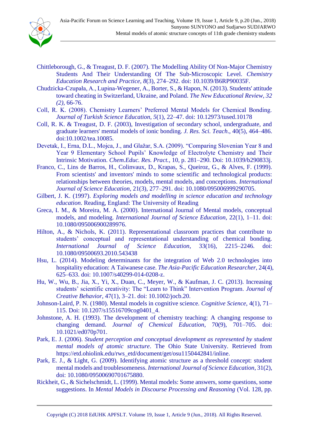

- Chittleborough, G., & Treagust, D. F. (2007). The Modelling Ability Of Non-Major Chemistry Students And Their Understanding Of The Sub-Microscopic Level. *Chemistry Education Research and Practice*, *8*(3), 274–292. doi: 10.1039/B6RP90035F.
- Chudzicka-Czupała, A., Lupina-Wegener, A., Borter, S., & Hapon, N. (2013). Students' attitude toward cheating in Switzerland, Ukraine, and Poland. *The New Educational Review, 32 (2)*, 66-76.
- Coll, R. K. (2008). Chemistry Learners' Preferred Mental Models for Chemical Bonding. *Journal of Turkish Science Education*, *5*(1), 22–47. doi: 10.12973/tused.10178
- Coll, R. K. & Treagust, D. F. (2003), Investigation of secondary school, undergraduate, and graduate learners' mental models of ionic bonding. *J. Res. Sci. Teach*., 40(5), 464–486. doi:10.1002/tea.10085.
- Devetak, I., Erna, D.L., Mojca, J., and Glažar, S.A. (2009). "Comparing Slovenian Year 8 and Year 9 Elementary School Pupils' Knowledge of Electrolyte Chemistry and Their Intrinsic Motivation. *Chem.Educ. Res. Pract.*, 10, p. 281–290. Doi: 10.1039/b290833j.
- Franco, C., Lins de Barros, H., Colinvaux, D., Krapas, S., Queiroz, G., & Alves, F. (1999). From scientists' and inventors' minds to some scientific and technological products: relationships between theories, models, mental models, and conceptions. *International Journal of Science Education*, 21(3), 277–291. doi: 10.1080/095006999290705.
- Gilbert, J. K. (1997). *Exploring models and modelling in science education and technology education*. Reading, England: The University of Reading
- Greca, I. M., & Moreira, M. A. (2000). International Journal of Mental models, conceptual models, and modeling. *International Journal of Science Education*, 22(1), 1–11. doi: 10.1080/095006900289976.
- Hilton, A., & Nichols, K. (2011). Representational classroom practices that contribute to students' conceptual and representational understanding of chemical bonding. *International Journal of Science Education*, 33(16), 2215–2246. doi: 10.1080/09500693.2010.543438
- Hsu, L. (2014). Modeling determinants for the integration of Web 2.0 technologies into hospitality education: A Taiwanese case. *The Asia-Pacific Education Researcher*, 24(4), 625–633. doi: 10.1007/s40299-014-0208-z.
- Hu, W., Wu, B., Jia, X., Yi, X., Duan, C., Meyer, W., & Kaufman, J. C. (2013). Increasing students' scientific creativity: The "Learn to Think" Intervention Program. *Journal of Creative Behavior*, 47(1), 3–21. doi: 10.1002/jocb.20.
- Johnson-Laird, P. N. (1980). Mental models in cognitive science. *Cognitive Science*, 4(1), 71– 115. Doi: 10.1207/s15516709cog0401\_4.
- Johnstone, A. H. (1993). The development of chemistry teaching: A changing response to changing demand. *Journal of Chemical Education*, 70(9), 701–705. doi: 10.1021/ed070p701.
- Park, E. J. (2006). *Student perception and conceptual development as represented by student mental models of atomic structure*. The Ohio State University. Retrieved from https://etd.ohiolink.edu/rws\_etd/document/get/osu1150442841/inline.
- Park, E. J., & Light, G. (2009). Identifying atomic structure as a threshold concept: student mental models and troublesomeness. *International Journal of Science Education*, 31(2), doi: 10.1080/09500690701675880.
- Rickheit, G., & Sichelschmidt, L. (1999). Mental models: Some answers, some questions, some suggestions. In *Mental Models in Discourse Processing and Reasoning* (Vol. 128, pp.